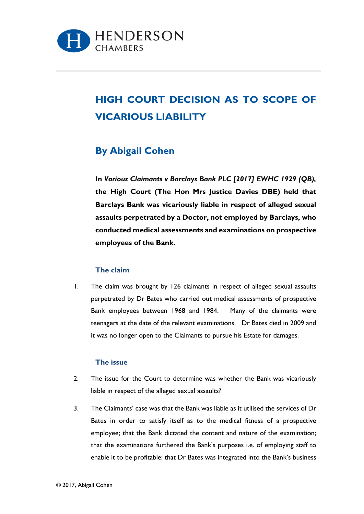

# **HIGH COURT DECISION AS TO SCOPE OF VICARIOUS LIABILITY**

# **By Abigail Cohen**

**In** *Various Claimants v Barclays Bank PLC [2017] EWHC 1929 (QB),*  **the High Court (The Hon Mrs Justice Davies DBE) held that Barclays Bank was vicariously liable in respect of alleged sexual assaults perpetrated by a Doctor, not employed by Barclays, who conducted medical assessments and examinations on prospective employees of the Bank.** 

#### **The claim**

1. The claim was brought by 126 claimants in respect of alleged sexual assaults perpetrated by Dr Bates who carried out medical assessments of prospective Bank employees between 1968 and 1984. Many of the claimants were teenagers at the date of the relevant examinations. Dr Bates died in 2009 and it was no longer open to the Claimants to pursue his Estate for damages.

#### **The issue**

- 2. The issue for the Court to determine was whether the Bank was vicariously liable in respect of the alleged sexual assaults?
- 3. The Claimants' case was that the Bank was liable as it utilised the services of Dr Bates in order to satisfy itself as to the medical fitness of a prospective employee; that the Bank dictated the content and nature of the examination; that the examinations furthered the Bank's purposes i.e. of employing staff to enable it to be profitable; that Dr Bates was integrated into the Bank's business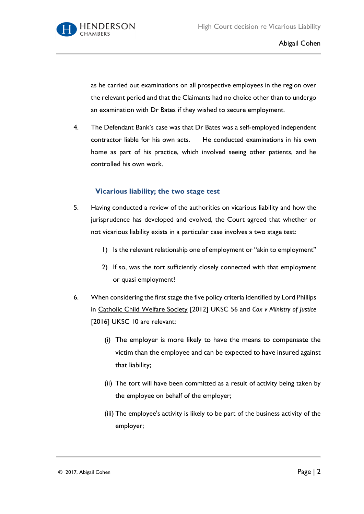

as he carried out examinations on all prospective employees in the region over the relevant period and that the Claimants had no choice other than to undergo an examination with Dr Bates if they wished to secure employment.

4. The Defendant Bank's case was that Dr Bates was a self-employed independent contractor liable for his own acts. He conducted examinations in his own home as part of his practice, which involved seeing other patients, and he controlled his own work.

# **Vicarious liability; the two stage test**

- 5. Having conducted a review of the authorities on vicarious liability and how the jurisprudence has developed and evolved, the Court agreed that whether or not vicarious liability exists in a particular case involves a two stage test:
	- 1) Is the relevant relationship one of employment or "akin to employment"
	- 2) If so, was the tort sufficiently closely connected with that employment or quasi employment?
- 6. When considering the first stage the five policy criteria identified by Lord Phillips in Catholic Child Welfare Society [2012] UKSC 56 and *Cox v Ministry of Justice* [2016] UKSC 10 are relevant:
	- (i) The employer is more likely to have the means to compensate the victim than the employee and can be expected to have insured against that liability;
	- (ii) The tort will have been committed as a result of activity being taken by the employee on behalf of the employer;
	- (iii) The employee's activity is likely to be part of the business activity of the employer;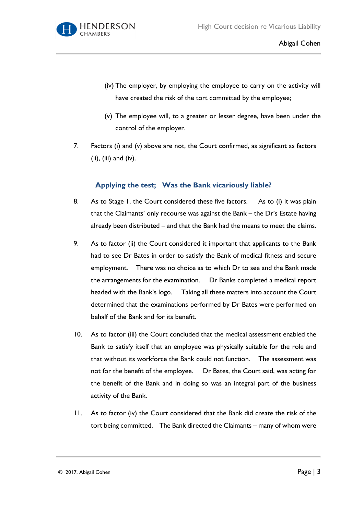

- (iv) The employer, by employing the employee to carry on the activity will have created the risk of the tort committed by the employee;
- (v) The employee will, to a greater or lesser degree, have been under the control of the employer.
- 7. Factors (i) and (v) above are not, the Court confirmed, as significant as factors (ii), (iii) and (iv).

# **Applying the test; Was the Bank vicariously liable?**

- 8. As to Stage 1, the Court considered these five factors. As to (i) it was plain that the Claimants' only recourse was against the Bank – the Dr's Estate having already been distributed – and that the Bank had the means to meet the claims.
- 9. As to factor (ii) the Court considered it important that applicants to the Bank had to see Dr Bates in order to satisfy the Bank of medical fitness and secure employment. There was no choice as to which Dr to see and the Bank made the arrangements for the examination. Dr Banks completed a medical report headed with the Bank's logo. Taking all these matters into account the Court determined that the examinations performed by Dr Bates were performed on behalf of the Bank and for its benefit.
- 10. As to factor (iii) the Court concluded that the medical assessment enabled the Bank to satisfy itself that an employee was physically suitable for the role and that without its workforce the Bank could not function. The assessment was not for the benefit of the employee. Dr Bates, the Court said, was acting for the benefit of the Bank and in doing so was an integral part of the business activity of the Bank.
- 11. As to factor (iv) the Court considered that the Bank did create the risk of the tort being committed. The Bank directed the Claimants – many of whom were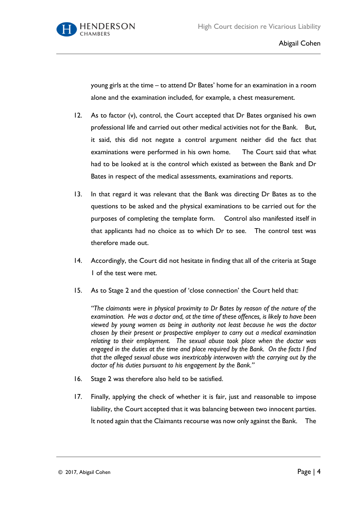

young girls at the time – to attend Dr Bates' home for an examination in a room alone and the examination included, for example, a chest measurement.

- 12. As to factor (v), control, the Court accepted that Dr Bates organised his own professional life and carried out other medical activities not for the Bank. But, it said, this did not negate a control argument neither did the fact that examinations were performed in his own home. The Court said that what had to be looked at is the control which existed as between the Bank and Dr Bates in respect of the medical assessments, examinations and reports.
- 13. In that regard it was relevant that the Bank was directing Dr Bates as to the questions to be asked and the physical examinations to be carried out for the purposes of completing the template form. Control also manifested itself in that applicants had no choice as to which Dr to see. The control test was therefore made out.
- 14. Accordingly, the Court did not hesitate in finding that all of the criteria at Stage 1 of the test were met.
- 15. As to Stage 2 and the question of 'close connection' the Court held that:

*"The claimants were in physical proximity to Dr Bates by reason of the nature of the examination. He was a doctor and, at the time of these offences, is likely to have been viewed by young women as being in authority not least because he was the doctor chosen by their present or prospective employer to carry out a medical examination relating to their employment. The sexual abuse took place when the doctor was engaged in the duties at the time and place required by the Bank. On the facts I find that the alleged sexual abuse was inextricably interwoven with the carrying out by the doctor of his duties pursuant to his engagement by the Bank."*

- 16. Stage 2 was therefore also held to be satisfied.
- 17. Finally, applying the check of whether it is fair, just and reasonable to impose liability, the Court accepted that it was balancing between two innocent parties. It noted again that the Claimants recourse was now only against the Bank. The